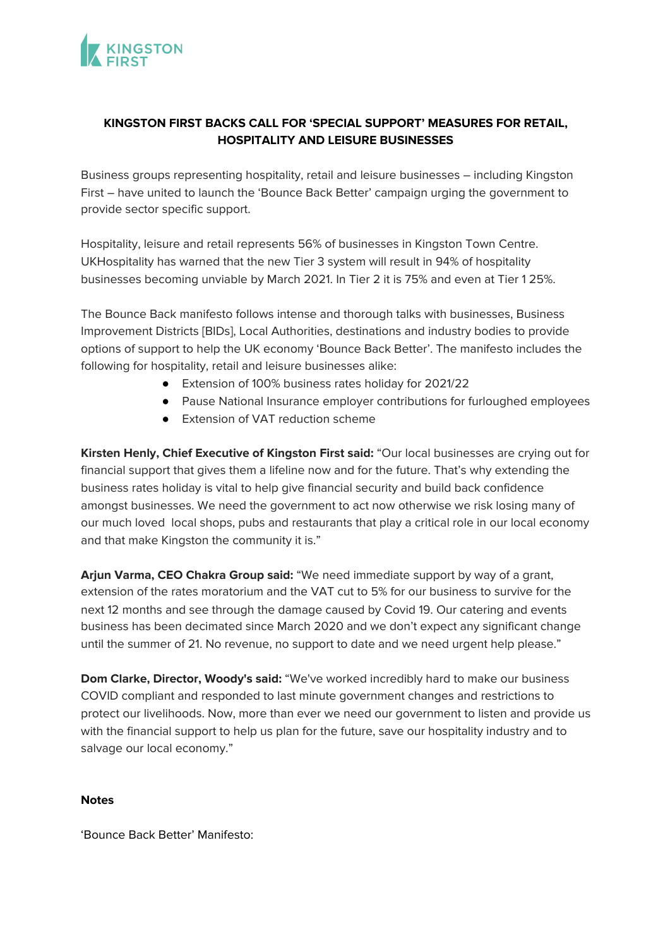

# **KINGSTON FIRST BACKS CALL FOR 'SPECIAL SUPPORT' MEASURES FOR RETAIL, HOSPITALITY AND LEISURE BUSINESSES**

Business groups representing hospitality, retail and leisure businesses – including Kingston First – have united to launch the 'Bounce Back Better' campaign urging the government to provide sector specific support.

Hospitality, leisure and retail represents 56% of businesses in Kingston Town Centre. UKHospitality has warned that the new Tier 3 system will result in 94% of hospitality businesses becoming unviable by March 2021. In Tier 2 it is 75% and even at Tier 1 25%.

The Bounce Back manifesto follows intense and thorough talks with businesses, Business Improvement Districts [BIDs], Local Authorities, destinations and industry bodies to provide options of support to help the UK economy 'Bounce Back Better'. The manifesto includes the following for hospitality, retail and leisure businesses alike:

- Extension of 100% business rates holiday for 2021/22
- Pause National Insurance employer contributions for furloughed employees
- Extension of VAT reduction scheme

**Kirsten Henly, Chief Executive of Kingston First said:** "Our local businesses are crying out for financial support that gives them a lifeline now and for the future. That's why extending the business rates holiday is vital to help give financial security and build back confidence amongst businesses. We need the government to act now otherwise we risk losing many of our much loved local shops, pubs and restaurants that play a critical role in our local economy and that make Kingston the community it is."

**Arjun Varma, CEO Chakra Group said:** "We need immediate support by way of a grant, extension of the rates moratorium and the VAT cut to 5% for our business to survive for the next 12 months and see through the damage caused by Covid 19. Our catering and events business has been decimated since March 2020 and we don't expect any significant change until the summer of 21. No revenue, no support to date and we need urgent help please."

**Dom Clarke, Director, Woody's said:** "We've worked incredibly hard to make our business COVID compliant and responded to last minute government changes and restrictions to protect our livelihoods. Now, more than ever we need our government to listen and provide us with the financial support to help us plan for the future, save our hospitality industry and to salvage our local economy."

#### **Notes**

'Bounce Back Better' Manifesto: